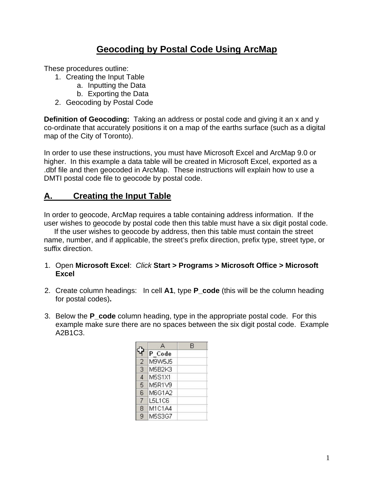# **Geocoding by Postal Code Using ArcMap**

These procedures outline:

- 1. Creating the Input Table
	- a. Inputting the Data
	- b. Exporting the Data
- 2. Geocoding by Postal Code

**Definition of Geocoding:** Taking an address or postal code and giving it an x and y co-ordinate that accurately positions it on a map of the earths surface (such as a digital map of the City of Toronto).

In order to use these instructions, you must have Microsoft Excel and ArcMap 9.0 or higher. In this example a data table will be created in Microsoft Excel, exported as a .dbf file and then geocoded in ArcMap. These instructions will explain how to use a DMTI postal code file to geocode by postal code.

### **A. Creating the Input Table**

In order to geocode, ArcMap requires a table containing address information. If the user wishes to geocode by postal code then this table must have a six digit postal code.

 If the user wishes to geocode by address, then this table must contain the street name, number, and if applicable, the street's prefix direction, prefix type, street type, or suffix direction.

- 1. Open **Microsoft Excel**: *Click* **Start > Programs > Microsoft Office > Microsoft Excel**
- 2. Create column headings: In cell **A1**, type **P\_code** (this will be the column heading for postal codes)**.**
- 3. Below the **P\_code** column heading, type in the appropriate postal code. For this example make sure there are no spaces between the six digit postal code. Example A2B1C3.

|                |        | B |
|----------------|--------|---|
|                | P Code |   |
| $\overline{2}$ | M9W5J5 |   |
| 3              | M5B2K3 |   |
| $\overline{4}$ | M5S1X1 |   |
| 5              | M5R1V9 |   |
| 6              | M6G1A2 |   |
| 7              | L5L1C6 |   |
| 8              | M1C1A4 |   |
| 9              | M5S3G7 |   |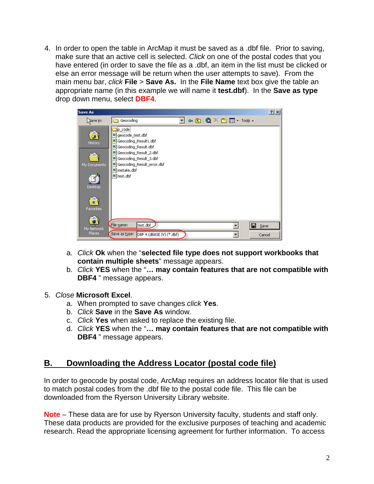4. In order to open the table in ArcMap it must be saved as a .dbf file. Prior to saving, make sure that an active cell is selected. *Click* on one of the postal codes that you have entered (in order to save the file as a .dbf, an item in the list must be clicked or else an error message will be return when the user attempts to save). From the main menu bar, *click* **File** > **Save As.** In the **File Name** text box give the table an appropriate name (in this example we will name it **test.dbf**). In the **Save as type** drop down menu, select **DBF4**.

| Save As                                 |                                                                                                                                                                                                                             | ? X |
|-----------------------------------------|-----------------------------------------------------------------------------------------------------------------------------------------------------------------------------------------------------------------------------|-----|
| Save in:                                | $\Leftrightarrow$ $\bigoplus$ $\bigotimes$ $\times$ $\bigotimes$ $\bigoplus$ $\cdot$ Tools $\cdot$<br>$\blacksquare$<br>Geocoding                                                                                           |     |
| ø<br>History<br>My Documents<br>Desktop | ip_code<br>■ geocode_test.dbf<br>Geocoding Result1.dbf<br>圔<br>Geocoding_Result.dbf<br>圛<br>Geocoding_Result_2.dbf<br>획<br>Geocoding_Result_3.dbf<br>圛<br>Geocoding_Result_error.dbf<br>国<br>mistake.dbf<br>圛<br>■ test.dbf |     |
| ₩<br><b>Favorites</b>                   |                                                                                                                                                                                                                             |     |
| My Network                              | File name:<br>test.dbf<br>۷<br>Ы<br>Save                                                                                                                                                                                    |     |
| <b>Places</b>                           | Save as type: DBF 4 (dBASE IV) (*.dbf)<br>$\blacksquare$<br>Cancel                                                                                                                                                          |     |

- a. *Click* **Ok** when the "**selected file type does not support workbooks that contain multiple sheets**" message appears.
- b. *Click* **YES** when the "**… may contain features that are not compatible with DBF4** " message appears.
- 5. *Close* **Microsoft Excel**.
	- a. When prompted to save changes *click* **Yes**.
	- b. *Click* **Save** in the **Save As** window.
	- c. *Click* **Yes** when asked to replace the existing file.
	- d. *Click* **YES** when the "**… may contain features that are not compatible with DBF4** " message appears.

### **B. Downloading the Address Locator (postal code file)**

In order to geocode by postal code, ArcMap requires an address locator file that is used to match postal codes from the .dbf file to the postal code file. This file can be downloaded from the Ryerson University Library website.

**Note** – These data are for use by Ryerson University faculty, students and staff only. These data products are provided for the exclusive purposes of teaching and academic research. Read the appropriate licensing agreement for further information. To access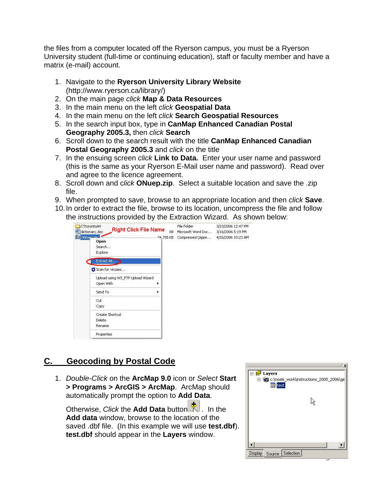the files from a computer located off the Ryerson campus, you must be a Ryerson University student (full-time or continuing education), staff or faculty member and have a matrix (e-mail) account.

- 1. Navigate to the **Ryerson University Library Website** (http://www.ryerson.ca/library/)
- 2. On the main page *click* **Map & Data Resources**
- 3. In the main menu on the left *click* **Geospatial Data**
- 4. In the main menu on the left *click* **Search Geospatial Resources**
- 5. In the search input box, type in **[CanMap Enhanced Canadian Postal](http://www.firefly.ryerson.ca/madar/geospatial/libdata/action2b.cfm?ResourceID=173)  [Geography 2005.3](http://www.firefly.ryerson.ca/madar/geospatial/libdata/action2b.cfm?ResourceID=173),** then *click* **Search**
- 6. Scroll down to the search result with the title **[CanMap Enhanced Canadian](http://www.firefly.ryerson.ca/madar/geospatial/libdata/action2b.cfm?ResourceID=173)  [Postal Geography 2005.3](http://www.firefly.ryerson.ca/madar/geospatial/libdata/action2b.cfm?ResourceID=173)** and *click* on the title
- 7. In the ensuing screen *click* **Link to Data.** Enter your user name and password (this is the same as your Ryerson E-Mail user name and password). Read over and agree to the licence agreement.
- 8. Scroll down and c*lick* **[ONuep.zip](https://www.firefly.ryerson.ca/madar/geospatial/libdata/secure_data/getfile.cfm?dir=dmti%2FPostalCodev2005%2E3%2FONuep%2Ezip)**. Select a suitable location and save the .zip file.
- 9. When prompted to save, browse to an appropriate location and then *click* **Save**.
- 10. In order to extract the file, browse to its location, uncompress the file and follow the instructions provided by the Extraction Wizard. As shown below:

| CTtorontoAV<br>dictionary.doc                  | <b>Right Click File Name</b><br>KB | File Folder<br>Microsoft Word Doc | 3/23/2006 12:47 PM<br>3/16/2006 5:19 PM |
|------------------------------------------------|------------------------------------|-----------------------------------|-----------------------------------------|
| ONmen zin<br>Open<br>Search<br>Explore         | 24,705 KB                          | Compressed (zippe                 | 4/26/2006 10:23 AM                      |
| Extract All                                    |                                    |                                   |                                         |
| Scan for viruses                               |                                    |                                   |                                         |
| Upload using WS_FTP Upload Wizard<br>Open With |                                    |                                   |                                         |
| Send To                                        |                                    |                                   |                                         |
| Cut<br>Copy                                    |                                    |                                   |                                         |
| Create Shortcut<br>Delete                      |                                    |                                   |                                         |
| Rename                                         |                                    |                                   |                                         |
| Properties                                     |                                    |                                   |                                         |

## **C. Geocoding by Postal Code**

1. *Double-Click* on the **ArcMap 9.0** icon or *Select* **Start > Programs > ArcGIS > ArcMap**. ArcMap should automatically prompt the option to **Add Data**.

Otherwise, *Click* the **Add Data** button . In the **Add data** window, browse to the location of the saved .dbf file. (In this example we will use **test.dbf**). **test.dbf** should appear in the **Layers** window.

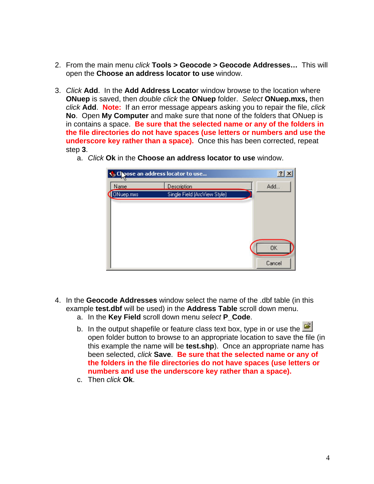- 2. From the main menu *click* **Tools > Geocode > Geocode Addresses…** This will open the **Choose an address locator to use** window.
- 3. *Click* **Add**. In the **Add Address Locato**r window browse to the location where **ONuep** is saved, then *double click* the **ONuep** folder. *Select* **ONuep.mxs,** then *click* **Add**. **Note:** If an error message appears asking you to repair the file, *click*  **No**. Open **My Computer** and make sure that none of the folders that ONuep is in contains a space. **Be sure that the selected name or any of the folders in the file directories do not have spaces (use letters or numbers and use the underscore key rather than a space).** Once this has been corrected, repeat step **3**.
	- Coose an address locator to use...  $|?|x|$ Name **Description** Add... ONuep.mxs Single Field (ArcView Style) OK Cancel
	- a. *Click* **Ok** in the **Choose an address locator to use** window.

- 4. In the **Geocode Addresses** window select the name of the .dbf table (in this example **test.dbf** will be used) in the **Address Table** scroll down menu.
	- a. In the **Key Field** scroll down menu *select* **P\_Code**.
	- b. In the output shapefile or feature class text box, type in or use the  $\mathbb{R}^2$ open folder button to browse to an appropriate location to save the file (in this example the name will be **test.shp**). Once an appropriate name has been selected, *click* **Save**. **Be sure that the selected name or any of the folders in the file directories do not have spaces (use letters or numbers and use the underscore key rather than a space).**
	- c. Then *click* **Ok**.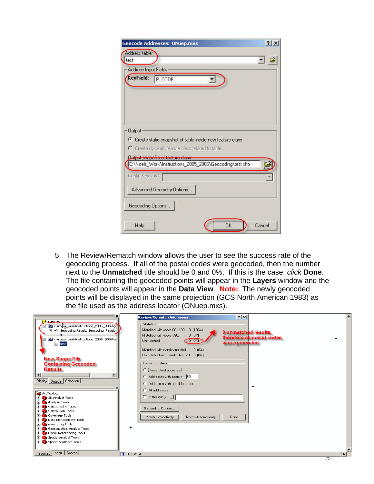| <b>Geocode Addresses: ONuep.mxs</b>                                                                  | $?$ $\times$ |
|------------------------------------------------------------------------------------------------------|--------------|
| Address table:                                                                                       |              |
| test                                                                                                 | ים ⊡         |
| Address Input Fields                                                                                 |              |
| KeyField:<br>$P$ _CODE                                                                               |              |
|                                                                                                      |              |
|                                                                                                      |              |
| <b>Output</b>                                                                                        |              |
| C Create static snapshot of table inside new feature class                                           |              |
| C Create dynamic feature class related to table                                                      |              |
|                                                                                                      |              |
| <u>Dutput shapefile or feature class:</u><br>C:\Noels_Work\Instructions_2005_2006\Geocoding\test.shp |              |
|                                                                                                      |              |
| Config Keyword:                                                                                      |              |
| Advanced Geometry Options                                                                            |              |
| Geocoding Options                                                                                    |              |
|                                                                                                      |              |
| <b>OK</b><br>Help                                                                                    | Cancel       |

5. The Review/Rematch window allows the user to see the success rate of the geocoding process. If all of the postal codes were geocoded, then the number next to the **Unmatched** title should be 0 and 0%. If this is the case, *click* **Done**. The file containing the geocoded points will appear in the **Layers** window and the geocoded points will appear in the **Data View**. **Note:** The newly geocoded points will be displayed in the same projection (GCS North American 1983) as the file used as the address locator (ONuep.mxs).

|                                                                                                                                                                                                      | <b>Review/Rematch Addresses</b>                                                                                                                                                                      | 2 X                                                                 |  |
|------------------------------------------------------------------------------------------------------------------------------------------------------------------------------------------------------|------------------------------------------------------------------------------------------------------------------------------------------------------------------------------------------------------|---------------------------------------------------------------------|--|
| $\Box$ $\Xi$ Lavers<br>c:\no\e_work\instructions_2005_2006\ge<br>冃<br>□ Ø Geocoding Result: Geocoding_Result_<br>c:\noels_work\instructions_2005_2006\ge<br>E<br><b>囲</b> test                       | - Statistics-<br>Matched with score 80 - 100: 8 (100%)<br>Matched with score <80:<br>0(0%<br>0(0%)<br>Unmatched:                                                                                     | 0 unmatched results,<br>therefore all postal codes<br>were geocoded |  |
| <b>New Shape File</b><br><b>Containing Geocoded</b><br><b>Results</b><br>$\left  \cdot \right $<br>$\blacktriangleright$<br>Display Source Selection                                                 | Matched with candidates tied:<br>0(0%<br>Unmatched with candidates tied: 0 (0%)<br>Rematch Criteria<br><b>C</b> Unmatched addresses<br>Addresses with score < 60<br>C Addresses with candidates tied |                                                                     |  |
| <b>R</b> ArcToolbox<br><b>E-S</b> 3D Analyst Tools<br><b>E</b> Analysis Tools<br>El Cartography Tools<br><b>E</b> Conversion Tools<br><b>E</b> Coverage Tools<br><b>El-Sta</b> Data Management Tools | C All addresses<br>$\Box$ in this query<br>Geocoding Options<br>Match Interactively<br>Match Automatically                                                                                           | ٠<br>Done                                                           |  |
| File Geocoding Tools<br><b>El San</b> Geostatistical Analyst Tools<br>E Color Referencing Tools<br>Spatial Analyst Tools<br><b>El-Seg Spatial Statistics Tools</b><br>Favorites   Index   Search     | 00001                                                                                                                                                                                                |                                                                     |  |